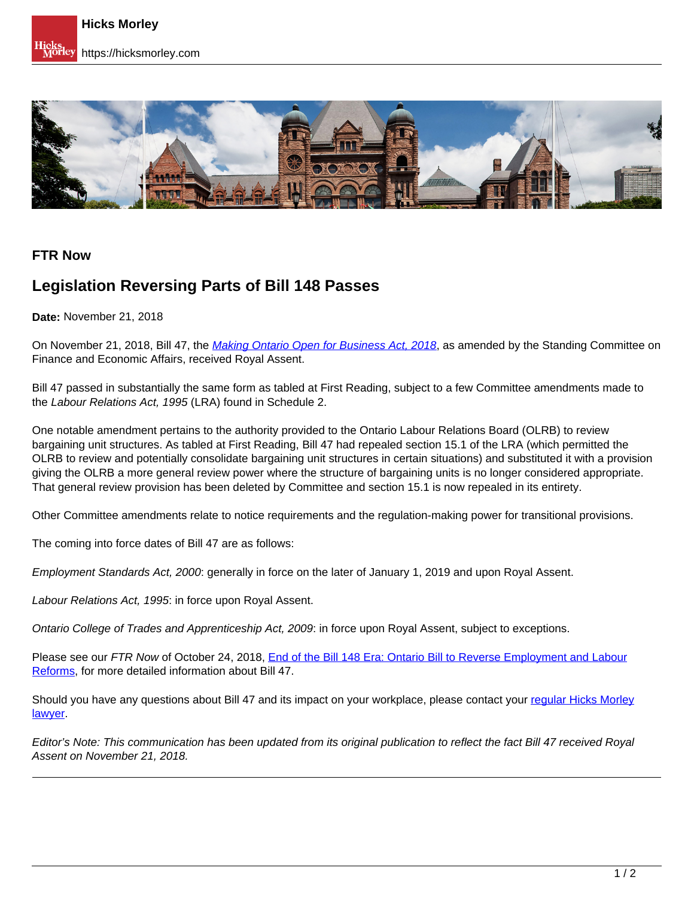

## **FTR Now**

## **Legislation Reversing Parts of Bill 148 Passes**

**Date:** November 21, 2018

On November 21, 2018, Bill 47, the [Making Ontario Open for Business Act, 2018](https://www.ola.org/en/legislative-business/bills/parliament-42/session-1/bill-47), as amended by the Standing Committee on Finance and Economic Affairs, received Royal Assent.

Bill 47 passed in substantially the same form as tabled at First Reading, subject to a few Committee amendments made to the Labour Relations Act, 1995 (LRA) found in Schedule 2.

One notable amendment pertains to the authority provided to the Ontario Labour Relations Board (OLRB) to review bargaining unit structures. As tabled at First Reading, Bill 47 had repealed section 15.1 of the LRA (which permitted the OLRB to review and potentially consolidate bargaining unit structures in certain situations) and substituted it with a provision giving the OLRB a more general review power where the structure of bargaining units is no longer considered appropriate. That general review provision has been deleted by Committee and section 15.1 is now repealed in its entirety.

Other Committee amendments relate to notice requirements and the regulation-making power for transitional provisions.

The coming into force dates of Bill 47 are as follows:

Employment Standards Act, 2000: generally in force on the later of January 1, 2019 and upon Royal Assent.

Labour Relations Act, 1995: in force upon Royal Assent.

Ontario College of Trades and Apprenticeship Act, 2009: in force upon Royal Assent, subject to exceptions.

Please see our FTR Now of October 24, 2018, End of the Bill 148 Era: Ontario Bill to Reverse Employment and Labour Reforms, for more detailed information about Bill 47.

Should you have any questions about Bill 47 and its impact on your workplace, please contact your regular Hicks Morley lawyer.

Editor's Note: This communication has been updated from its original publication to reflect the fact Bill 47 received Royal Assent on November 21, 2018.